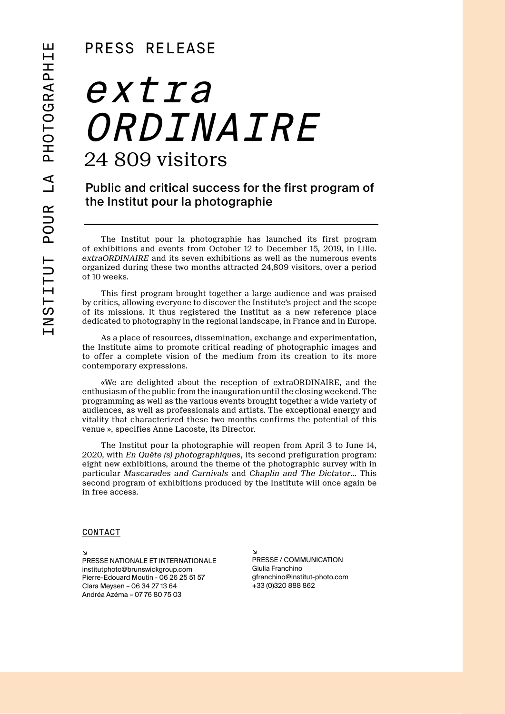## PRESS RELEASE

## extra ORDINAIRE 24 809 visitors

Public and critical success for the first program of the Institut pour la photographie

The Institut pour la photographie has launched its first program of exhibitions and events from October 12 to December 15, 2019, in Lille. *extraORDINAIRE* and its seven exhibitions as well as the numerous events organized during these two months attracted 24,809 visitors, over a period of 10 weeks.

This first program brought together a large audience and was praised by critics, allowing everyone to discover the Institute's project and the scope of its missions. It thus registered the Institut as a new reference place dedicated to photography in the regional landscape, in France and in Europe.

As a place of resources, dissemination, exchange and experimentation, the Institute aims to promote critical reading of photographic images and to offer a complete vision of the medium from its creation to its more contemporary expressions.

«We are delighted about the reception of extraORDINAIRE, and the enthusiasm of the public from the inauguration until the closing weekend. The programming as well as the various events brought together a wide variety of audiences, as well as professionals and artists. The exceptional energy and vitality that characterized these two months confirms the potential of this venue », specifies Anne Lacoste, its Director.

The Institut pour la photographie will reopen from April 3 to June 14, 2020, with *En Quête (s) photographiques*, its second prefiguration program: eight new exhibitions, around the theme of the photographic survey with in particular *Mascarades and Carnivals* and *Chaplin and The Dictator*… This second program of exhibitions produced by the Institute will once again be in free access.

## **CONTACT**

↘ PRESSE NATIONALE ET INTERNATIONALE institutphoto@brunswickgroup.com Pierre-Edouard Moutin - 06 26 25 51 57 Clara Meysen – 06 34 27 13 64 Andréa Azéma – 07 76 80 75 03

↘ PRESSE / COMMUNICATION Giulia Franchino gfranchino@institut-photo.com +33 (0)320 888 862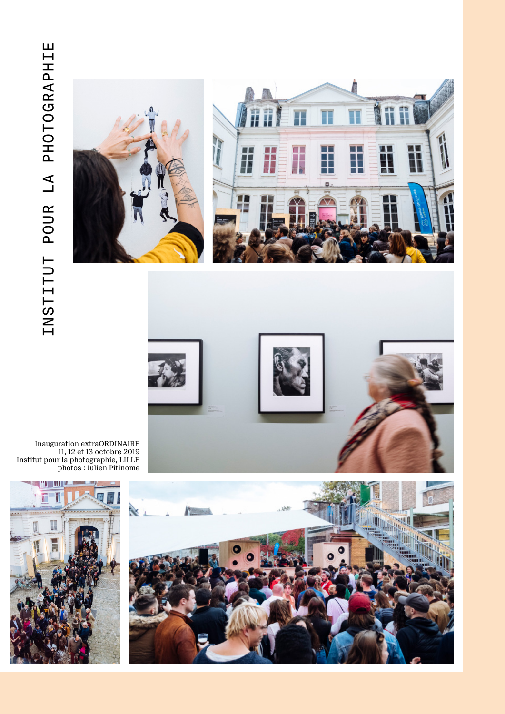





Inauguration extraORDINAIRE 11, 12 et 13 octobre 2019 Institut pour la photographie, LILLE photos : Julien Pitinome